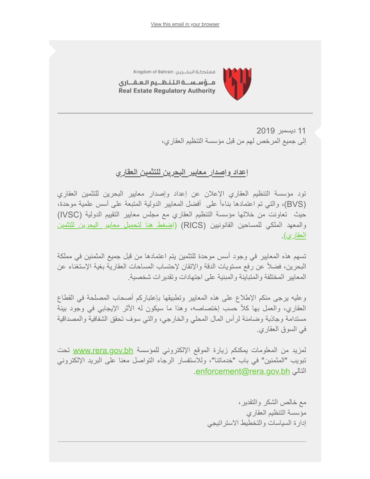

مملكة البحرين Kingdom of Bahrain

مــؤسـســة الـتـنـظــيم الـعـقـــارى Real Estate Regulatory Authority

> 11 دیسمبر 2019 إلى جمیع المرخص لھم من قبل مؤسسة التنظیم العقاري،

## **إعداد وإصدار معاییر البحرین للتثمین العقاري**

تود مؤسسة التنظیم العقاري الإعلان عن إعداد وإصدار معاییر البحرین للتثمین العقاري (BVS(، والتي تم اعتمادھا بناءاً على أفضل المعاییر الدولیة المتبعة على أسس علمیة موحدة، حیث تعاونت من خلالھا مؤسسة التنظیم العقاري مع مجلس معاییر التقییم الدولیة (IVSC( [والمعھد الملكي للمساحین القانونیین \(RICS\)](http://www.rera.gov.bh/Media/downloads/valuers/BVS_AR_20190618.pdf) (إضغط ھنا لتحمیل معاییر البحرین للتثمین العقاري).

تسھم ھذه المعاییر في وجود أسس موحدة للتثمین یتم اعتمادھا من قبل جمیع المثمنین في مملكة البحرین، فضلاً عن رفع مستویات الدقة والإتقان لإحتساب المساحات العقاریة بغیة الإستغناء عن المعاییر المختلفة والمتباینة والمبنیة على اجتھادات وتقدیرات شخصیة.

وعلیھ یرجى منكم الإطلاع على ھذه المعاییر وتطبیقھا بإعتباركم أصحاب المصلحة في القطاع العقاري، والعمل بھا كلاً حسب إختصاصھ، وھذا ما سیكون لھ الأثر الإیجابي في وجود بیئة مستدامة وجاذبة وضامنة لرأس المال المحلي والخارجي، والتي سوف تحقق الشفافیة والمصداقیة في السوق العقاري.

لمزید من المعلومات یمكنكم زیارة الموقع الإلكتروني للمؤسسة <u>www.rera.gov.bh</u> تحت تبویب "المثمنین" في باب "خدماتنا"، وللاستفسار الرجاء التواصل معنا على البرید الإلكتروني .[enforcement@rera.gov.bh](mailto:enforcement@rera.gov.bh) التالي

> مع خالص الشكر والتقدیر، مؤسسة التنظیم العقاري إدارة السیاسات والتخطیط الاستراتیجي